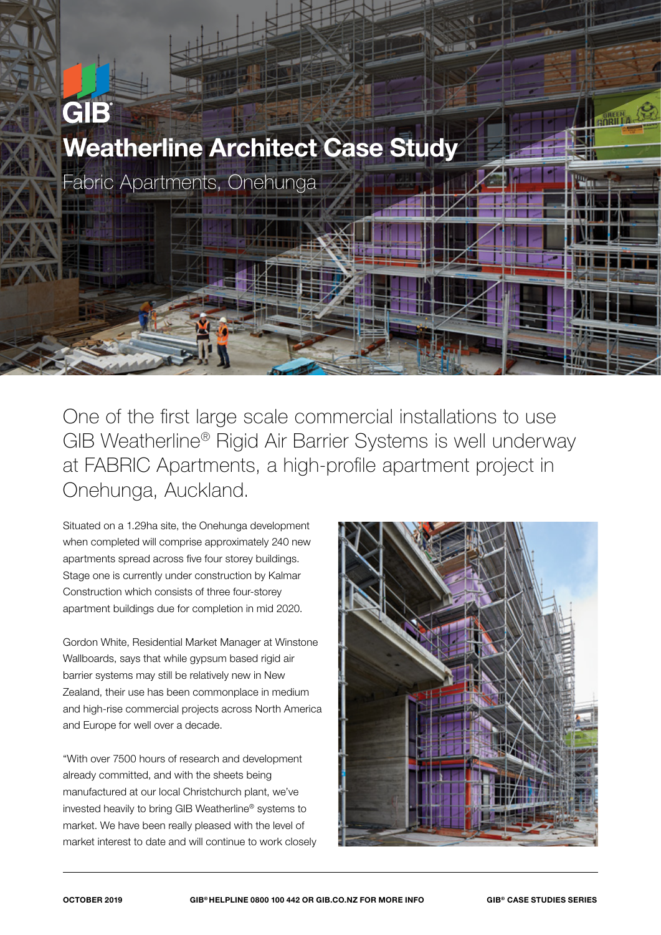

One of the first large scale commercial installations to use GIB Weatherline® Rigid Air Barrier Systems is well underway at FABRIC Apartments, a high-profile apartment project in Onehunga, Auckland.

Situated on a 1.29ha site, the Onehunga development when completed will comprise approximately 240 new apartments spread across five four storey buildings. Stage one is currently under construction by Kalmar Construction which consists of three four-storey apartment buildings due for completion in mid 2020.

Gordon White, Residential Market Manager at Winstone Wallboards, says that while gypsum based rigid air barrier systems may still be relatively new in New Zealand, their use has been commonplace in medium and high-rise commercial projects across North America and Europe for well over a decade.

"With over 7500 hours of research and development already committed, and with the sheets being manufactured at our local Christchurch plant, we've invested heavily to bring GIB Weatherline® systems to market. We have been really pleased with the level of market interest to date and will continue to work closely